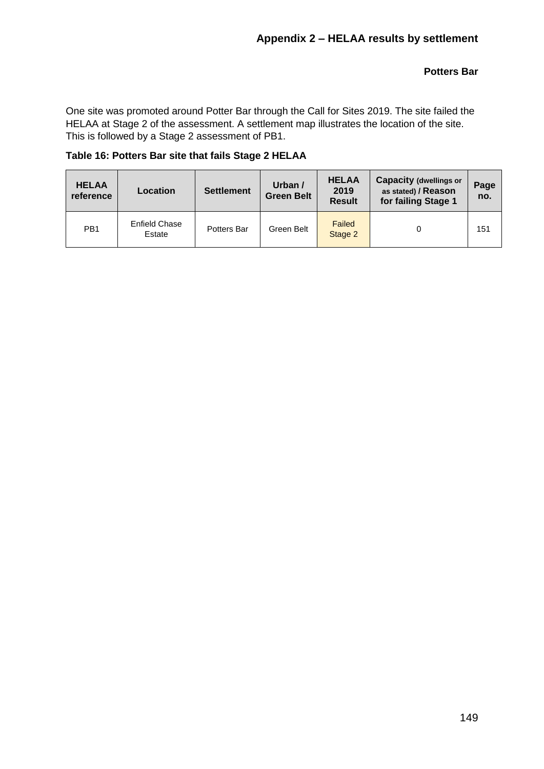## **Potters Bar**

One site was promoted around Potter Bar through the Call for Sites 2019. The site failed the HELAA at Stage 2 of the assessment. A settlement map illustrates the location of the site. This is followed by a Stage 2 assessment of PB1.

## **Table 16: Potters Bar site that fails Stage 2 HELAA**

| <b>HELAA</b><br>reference | Location                | <b>Settlement</b> | Urban /<br><b>Green Belt</b> | <b>HELAA</b><br>2019<br><b>Result</b> | <b>Capacity (dwellings or</b><br>as stated) / Reason<br>for failing Stage 1 |     |
|---------------------------|-------------------------|-------------------|------------------------------|---------------------------------------|-----------------------------------------------------------------------------|-----|
| PB <sub>1</sub>           | Enfield Chase<br>Estate | Potters Bar       | Green Belt                   | Failed<br>Stage 2                     |                                                                             | 151 |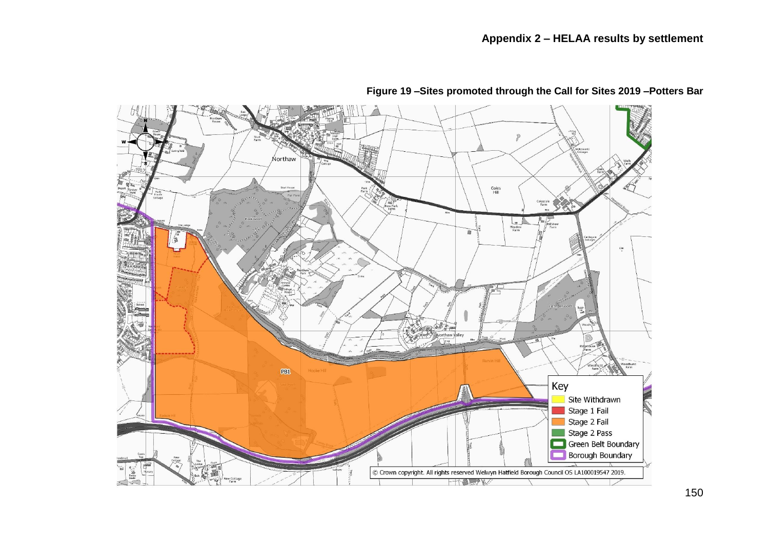

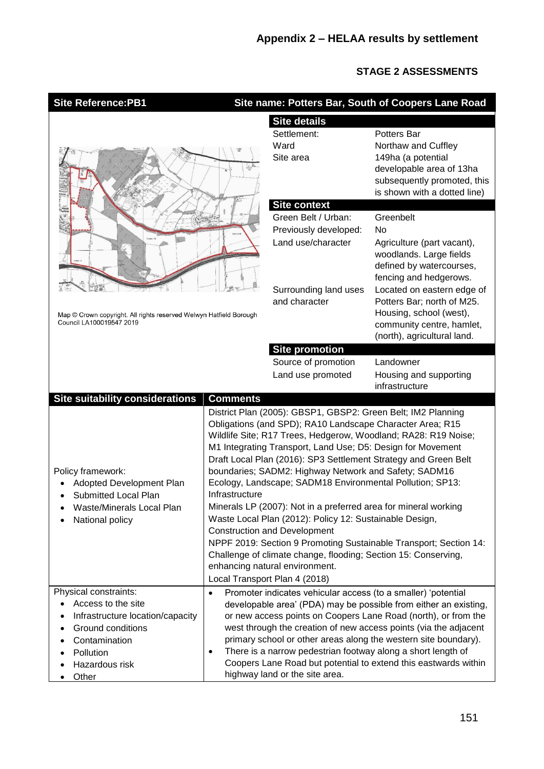## **STAGE 2 ASSESSMENTS**

٦

| <b>Site Reference:PB1</b>                                                                                                                                     |                                                                                                                                                                                                                                                                                                                                                                                                                                                                                                                                                                                                                                                                                                                                                                                                                                                      |                                                                                                                                                                 | Site name: Potters Bar, South of Coopers Lane Road                                                                                                                                                                                                                                                                                           |  |
|---------------------------------------------------------------------------------------------------------------------------------------------------------------|------------------------------------------------------------------------------------------------------------------------------------------------------------------------------------------------------------------------------------------------------------------------------------------------------------------------------------------------------------------------------------------------------------------------------------------------------------------------------------------------------------------------------------------------------------------------------------------------------------------------------------------------------------------------------------------------------------------------------------------------------------------------------------------------------------------------------------------------------|-----------------------------------------------------------------------------------------------------------------------------------------------------------------|----------------------------------------------------------------------------------------------------------------------------------------------------------------------------------------------------------------------------------------------------------------------------------------------------------------------------------------------|--|
|                                                                                                                                                               | <b>Site details</b>                                                                                                                                                                                                                                                                                                                                                                                                                                                                                                                                                                                                                                                                                                                                                                                                                                  |                                                                                                                                                                 |                                                                                                                                                                                                                                                                                                                                              |  |
|                                                                                                                                                               |                                                                                                                                                                                                                                                                                                                                                                                                                                                                                                                                                                                                                                                                                                                                                                                                                                                      | Settlement:<br>Ward<br>Site area                                                                                                                                | <b>Potters Bar</b><br>Northaw and Cuffley<br>149ha (a potential<br>developable area of 13ha<br>subsequently promoted, this<br>is shown with a dotted line)                                                                                                                                                                                   |  |
|                                                                                                                                                               |                                                                                                                                                                                                                                                                                                                                                                                                                                                                                                                                                                                                                                                                                                                                                                                                                                                      | <b>Site context</b><br>Green Belt / Urban:<br>Previously developed:<br>Land use/character                                                                       | Greenbelt<br>No<br>Agriculture (part vacant),<br>woodlands. Large fields<br>defined by watercourses,<br>fencing and hedgerows.                                                                                                                                                                                                               |  |
| Map © Crown copyright. All rights reserved Welwyn Hatfield Borough<br>Council LA100019547 2019                                                                |                                                                                                                                                                                                                                                                                                                                                                                                                                                                                                                                                                                                                                                                                                                                                                                                                                                      | Surrounding land uses<br>and character                                                                                                                          | Located on eastern edge of<br>Potters Bar; north of M25.<br>Housing, school (west),<br>community centre, hamlet,<br>(north), agricultural land.                                                                                                                                                                                              |  |
|                                                                                                                                                               |                                                                                                                                                                                                                                                                                                                                                                                                                                                                                                                                                                                                                                                                                                                                                                                                                                                      | <b>Site promotion</b>                                                                                                                                           |                                                                                                                                                                                                                                                                                                                                              |  |
|                                                                                                                                                               |                                                                                                                                                                                                                                                                                                                                                                                                                                                                                                                                                                                                                                                                                                                                                                                                                                                      | Source of promotion<br>Land use promoted                                                                                                                        | Landowner<br>Housing and supporting<br>infrastructure                                                                                                                                                                                                                                                                                        |  |
| Site suitability considerations                                                                                                                               | <b>Comments</b>                                                                                                                                                                                                                                                                                                                                                                                                                                                                                                                                                                                                                                                                                                                                                                                                                                      |                                                                                                                                                                 |                                                                                                                                                                                                                                                                                                                                              |  |
| Policy framework:<br>Adopted Development Plan<br>Submitted Local Plan<br>Waste/Minerals Local Plan<br>National policy                                         | District Plan (2005): GBSP1, GBSP2: Green Belt; IM2 Planning<br>Obligations (and SPD); RA10 Landscape Character Area; R15<br>Wildlife Site; R17 Trees, Hedgerow, Woodland; RA28: R19 Noise;<br>M1 Integrating Transport, Land Use; D5: Design for Movement<br>Draft Local Plan (2016): SP3 Settlement Strategy and Green Belt<br>boundaries; SADM2: Highway Network and Safety; SADM16<br>Ecology, Landscape; SADM18 Environmental Pollution; SP13:<br>Infrastructure<br>Minerals LP (2007): Not in a preferred area for mineral working<br>Waste Local Plan (2012): Policy 12: Sustainable Design,<br><b>Construction and Development</b><br>NPPF 2019: Section 9 Promoting Sustainable Transport; Section 14:<br>Challenge of climate change, flooding; Section 15: Conserving,<br>enhancing natural environment.<br>Local Transport Plan 4 (2018) |                                                                                                                                                                 |                                                                                                                                                                                                                                                                                                                                              |  |
| Physical constraints:<br>Access to the site<br>Infrastructure location/capacity<br>Ground conditions<br>Contamination<br>Pollution<br>Hazardous risk<br>Other | $\bullet$<br>٠                                                                                                                                                                                                                                                                                                                                                                                                                                                                                                                                                                                                                                                                                                                                                                                                                                       | Promoter indicates vehicular access (to a smaller) 'potential<br>There is a narrow pedestrian footway along a short length of<br>highway land or the site area. | developable area' (PDA) may be possible from either an existing,<br>or new access points on Coopers Lane Road (north), or from the<br>west through the creation of new access points (via the adjacent<br>primary school or other areas along the western site boundary).<br>Coopers Lane Road but potential to extend this eastwards within |  |

 $\overline{\phantom{a}}$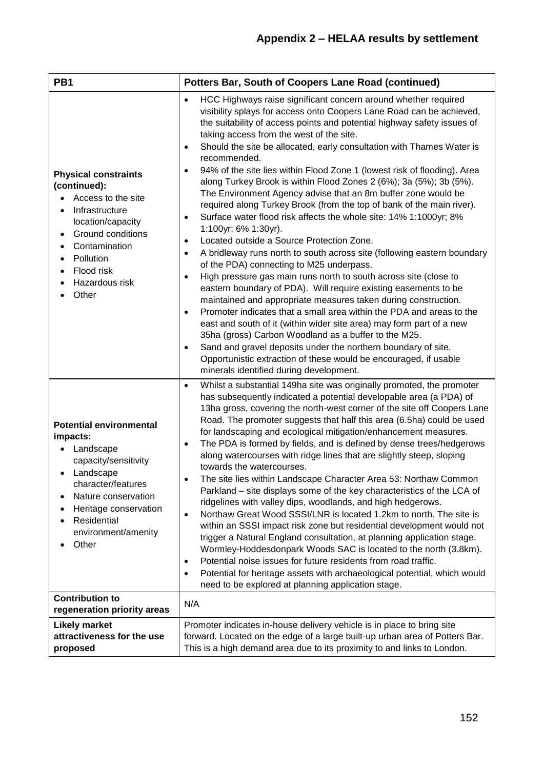| PB1                                                                                                                                                                                                               | <b>Potters Bar, South of Coopers Lane Road (continued)</b>                                                                                                                                                                                                                                                                                                                                                                                                                                                                                                                                                                                                                                                                                                                                                                                                                                                                                                                                                                                                                                                                                                                                                                                                                                                                                                                                                                                                                                                                                                                                                                                |  |  |  |  |
|-------------------------------------------------------------------------------------------------------------------------------------------------------------------------------------------------------------------|-------------------------------------------------------------------------------------------------------------------------------------------------------------------------------------------------------------------------------------------------------------------------------------------------------------------------------------------------------------------------------------------------------------------------------------------------------------------------------------------------------------------------------------------------------------------------------------------------------------------------------------------------------------------------------------------------------------------------------------------------------------------------------------------------------------------------------------------------------------------------------------------------------------------------------------------------------------------------------------------------------------------------------------------------------------------------------------------------------------------------------------------------------------------------------------------------------------------------------------------------------------------------------------------------------------------------------------------------------------------------------------------------------------------------------------------------------------------------------------------------------------------------------------------------------------------------------------------------------------------------------------------|--|--|--|--|
| <b>Physical constraints</b><br>(continued):<br>Access to the site<br>Infrastructure<br>location/capacity<br>Ground conditions<br>Contamination<br>$\bullet$<br>Pollution<br>Flood risk<br>Hazardous risk<br>Other | HCC Highways raise significant concern around whether required<br>$\bullet$<br>visibility splays for access onto Coopers Lane Road can be achieved,<br>the suitability of access points and potential highway safety issues of<br>taking access from the west of the site.<br>Should the site be allocated, early consultation with Thames Water is<br>$\bullet$<br>recommended.<br>94% of the site lies within Flood Zone 1 (lowest risk of flooding). Area<br>$\bullet$<br>along Turkey Brook is within Flood Zones 2 (6%); 3a (5%); 3b (5%).<br>The Environment Agency advise that an 8m buffer zone would be<br>required along Turkey Brook (from the top of bank of the main river).<br>Surface water flood risk affects the whole site: 14% 1:1000yr; 8%<br>$\bullet$<br>1:100yr; 6% 1:30yr).<br>Located outside a Source Protection Zone.<br>$\bullet$<br>A bridleway runs north to south across site (following eastern boundary<br>$\bullet$<br>of the PDA) connecting to M25 underpass.<br>High pressure gas main runs north to south across site (close to<br>$\bullet$<br>eastern boundary of PDA). Will require existing easements to be<br>maintained and appropriate measures taken during construction.<br>Promoter indicates that a small area within the PDA and areas to the<br>$\bullet$<br>east and south of it (within wider site area) may form part of a new<br>35ha (gross) Carbon Woodland as a buffer to the M25.<br>Sand and gravel deposits under the northern boundary of site.<br>$\bullet$<br>Opportunistic extraction of these would be encouraged, if usable<br>minerals identified during development. |  |  |  |  |
| <b>Potential environmental</b><br>impacts:<br>Landscape<br>capacity/sensitivity<br>Landscape<br>character/features<br>Nature conservation<br>Heritage conservation<br>Residential<br>environment/amenity<br>Other | Whilst a substantial 149ha site was originally promoted, the promoter<br>$\bullet$<br>has subsequently indicated a potential developable area (a PDA) of<br>13ha gross, covering the north-west corner of the site off Coopers Lane<br>Road. The promoter suggests that half this area (6.5ha) could be used<br>for landscaping and ecological mitigation/enhancement measures.<br>The PDA is formed by fields, and is defined by dense trees/hedgerows<br>$\bullet$<br>along watercourses with ridge lines that are slightly steep, sloping<br>towards the watercourses.<br>The site lies within Landscape Character Area 53: Northaw Common<br>Parkland – site displays some of the key characteristics of the LCA of<br>ridgelines with valley dips, woodlands, and high hedgerows.<br>Northaw Great Wood SSSI/LNR is located 1.2km to north. The site is<br>$\bullet$<br>within an SSSI impact risk zone but residential development would not<br>trigger a Natural England consultation, at planning application stage.<br>Wormley-Hoddesdonpark Woods SAC is located to the north (3.8km).<br>Potential noise issues for future residents from road traffic.<br>$\bullet$<br>Potential for heritage assets with archaeological potential, which would<br>$\bullet$<br>need to be explored at planning application stage.                                                                                                                                                                                                                                                                                                            |  |  |  |  |
| <b>Contribution to</b><br>regeneration priority areas                                                                                                                                                             | N/A                                                                                                                                                                                                                                                                                                                                                                                                                                                                                                                                                                                                                                                                                                                                                                                                                                                                                                                                                                                                                                                                                                                                                                                                                                                                                                                                                                                                                                                                                                                                                                                                                                       |  |  |  |  |
| <b>Likely market</b><br>attractiveness for the use<br>proposed                                                                                                                                                    | Promoter indicates in-house delivery vehicle is in place to bring site<br>forward. Located on the edge of a large built-up urban area of Potters Bar.<br>This is a high demand area due to its proximity to and links to London.                                                                                                                                                                                                                                                                                                                                                                                                                                                                                                                                                                                                                                                                                                                                                                                                                                                                                                                                                                                                                                                                                                                                                                                                                                                                                                                                                                                                          |  |  |  |  |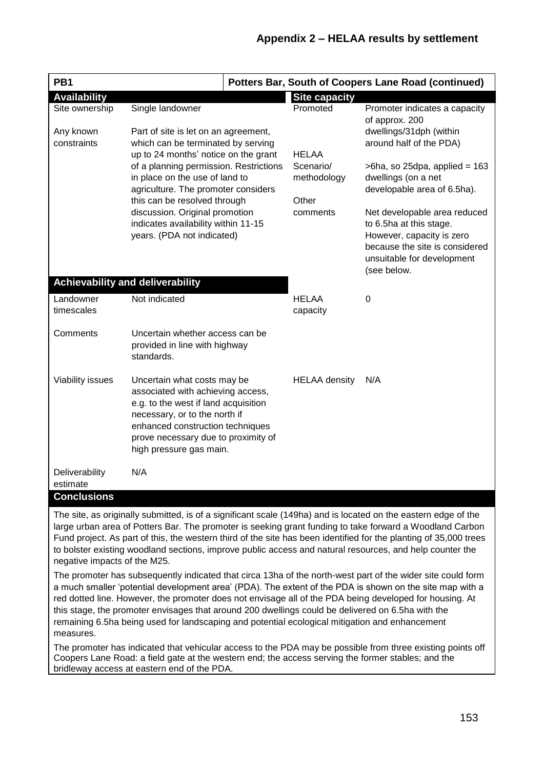| PB <sub>1</sub>                                                                                                                                                                                                               |                                                                                                                | <b>Potters Bar, South of Coopers Lane Road (continued)</b> |                              |                                                      |  |
|-------------------------------------------------------------------------------------------------------------------------------------------------------------------------------------------------------------------------------|----------------------------------------------------------------------------------------------------------------|------------------------------------------------------------|------------------------------|------------------------------------------------------|--|
| <b>Availability</b>                                                                                                                                                                                                           |                                                                                                                |                                                            | <b>Site capacity</b>         |                                                      |  |
| Site ownership                                                                                                                                                                                                                | Single landowner                                                                                               |                                                            | Promoted                     | Promoter indicates a capacity<br>of approx. 200      |  |
| Any known                                                                                                                                                                                                                     | Part of site is let on an agreement,                                                                           |                                                            |                              | dwellings/31dph (within                              |  |
| constraints                                                                                                                                                                                                                   | which can be terminated by serving                                                                             |                                                            |                              | around half of the PDA)                              |  |
|                                                                                                                                                                                                                               | up to 24 months' notice on the grant                                                                           |                                                            | <b>HELAA</b>                 |                                                      |  |
|                                                                                                                                                                                                                               | of a planning permission. Restrictions                                                                         |                                                            | Scenario/                    | $>6$ ha, so 25dpa, applied = 163                     |  |
|                                                                                                                                                                                                                               | in place on the use of land to                                                                                 |                                                            | methodology                  | dwellings (on a net                                  |  |
|                                                                                                                                                                                                                               | agriculture. The promoter considers                                                                            |                                                            |                              | developable area of 6.5ha).                          |  |
|                                                                                                                                                                                                                               | this can be resolved through                                                                                   |                                                            | Other                        |                                                      |  |
|                                                                                                                                                                                                                               | discussion. Original promotion                                                                                 | comments                                                   | Net developable area reduced |                                                      |  |
|                                                                                                                                                                                                                               | indicates availability within 11-15<br>years. (PDA not indicated)                                              |                                                            |                              | to 6.5ha at this stage.<br>However, capacity is zero |  |
|                                                                                                                                                                                                                               |                                                                                                                |                                                            |                              | because the site is considered                       |  |
|                                                                                                                                                                                                                               |                                                                                                                |                                                            |                              | unsuitable for development                           |  |
|                                                                                                                                                                                                                               |                                                                                                                |                                                            |                              | (see below.                                          |  |
|                                                                                                                                                                                                                               | <b>Achievability and deliverability</b>                                                                        |                                                            |                              |                                                      |  |
| Landowner                                                                                                                                                                                                                     | Not indicated                                                                                                  |                                                            | <b>HELAA</b>                 | 0                                                    |  |
| timescales                                                                                                                                                                                                                    |                                                                                                                |                                                            | capacity                     |                                                      |  |
|                                                                                                                                                                                                                               |                                                                                                                |                                                            |                              |                                                      |  |
| Comments                                                                                                                                                                                                                      | Uncertain whether access can be                                                                                |                                                            |                              |                                                      |  |
|                                                                                                                                                                                                                               | provided in line with highway                                                                                  |                                                            |                              |                                                      |  |
|                                                                                                                                                                                                                               | standards.                                                                                                     |                                                            |                              |                                                      |  |
|                                                                                                                                                                                                                               |                                                                                                                |                                                            | <b>HELAA</b> density         | N/A                                                  |  |
| Viability issues                                                                                                                                                                                                              | Uncertain what costs may be<br>associated with achieving access,                                               |                                                            |                              |                                                      |  |
| e.g. to the west if land acquisition                                                                                                                                                                                          |                                                                                                                |                                                            |                              |                                                      |  |
|                                                                                                                                                                                                                               | necessary, or to the north if                                                                                  |                                                            |                              |                                                      |  |
| enhanced construction techniques                                                                                                                                                                                              |                                                                                                                |                                                            |                              |                                                      |  |
|                                                                                                                                                                                                                               | prove necessary due to proximity of                                                                            |                                                            |                              |                                                      |  |
|                                                                                                                                                                                                                               | high pressure gas main.                                                                                        |                                                            |                              |                                                      |  |
|                                                                                                                                                                                                                               |                                                                                                                |                                                            |                              |                                                      |  |
| Deliverability                                                                                                                                                                                                                | N/A                                                                                                            |                                                            |                              |                                                      |  |
| estimate<br><b>Conclusions</b>                                                                                                                                                                                                |                                                                                                                |                                                            |                              |                                                      |  |
|                                                                                                                                                                                                                               |                                                                                                                |                                                            |                              |                                                      |  |
|                                                                                                                                                                                                                               | The site, as originally submitted, is of a significant scale (149ha) and is located on the eastern edge of the |                                                            |                              |                                                      |  |
|                                                                                                                                                                                                                               | large urban area of Potters Bar. The promoter is seeking grant funding to take forward a Woodland Carbon       |                                                            |                              |                                                      |  |
| Fund project. As part of this, the western third of the site has been identified for the planting of 35,000 trees<br>to bolster existing woodland sections, improve public access and natural resources, and help counter the |                                                                                                                |                                                            |                              |                                                      |  |
| negative impacts of the M25.                                                                                                                                                                                                  |                                                                                                                |                                                            |                              |                                                      |  |

The promoter has subsequently indicated that circa 13ha of the north-west part of the wider site could form a much smaller 'potential development area' (PDA). The extent of the PDA is shown on the site map with a red dotted line. However, the promoter does not envisage all of the PDA being developed for housing. At this stage, the promoter envisages that around 200 dwellings could be delivered on 6.5ha with the remaining 6.5ha being used for landscaping and potential ecological mitigation and enhancement measures.

The promoter has indicated that vehicular access to the PDA may be possible from three existing points off Coopers Lane Road: a field gate at the western end; the access serving the former stables; and the bridleway access at eastern end of the PDA.